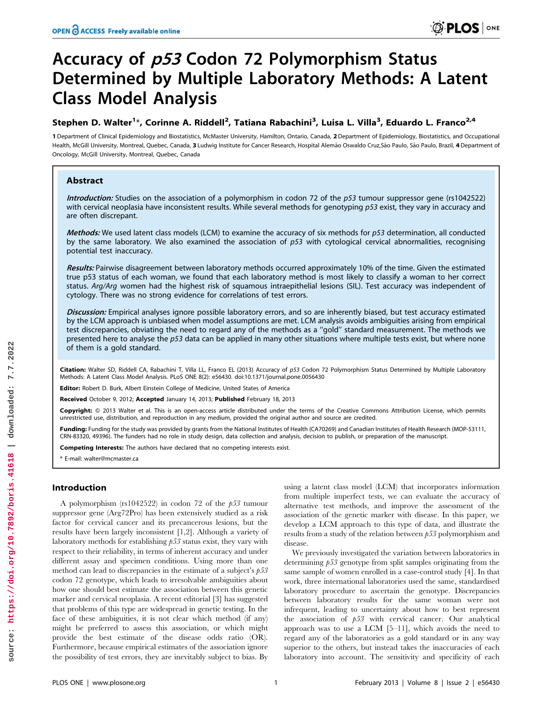# Accuracy of  $p53$  Codon 72 Polymorphism Status Determined by Multiple Laboratory Methods: A Latent Class Model Analysis

# Stephen D. Walter<sup>1\*</sup>, Corinne A. Riddell<sup>2</sup>, Tatiana Rabachini<sup>3</sup>, Luisa L. Villa<sup>3</sup>, Eduardo L. Franco<sup>2,4</sup>

1 Department of Clinical Epidemiology and Biostatistics, McMaster University, Hamilton, Ontario, Canada, 2 Department of Epidemiology, Biostatistics, and Occupational Health, McGill University, Montreal, Quebec, Canada, 3 Ludwig Institute for Cancer Research, Hospital Alemão Oswaldo Cruz, São Paulo, São Paulo, Brazil, 4 Department of Oncology, McGill University, Montreal, Quebec, Canada

# Abstract

Introduction: Studies on the association of a polymorphism in codon 72 of the p53 tumour suppressor gene (rs1042522) with cervical neoplasia have inconsistent results. While several methods for genotyping p53 exist, they vary in accuracy and are often discrepant.

Methods: We used latent class models (LCM) to examine the accuracy of six methods for p53 determination, all conducted by the same laboratory. We also examined the association of  $p53$  with cytological cervical abnormalities, recognising potential test inaccuracy.

Results: Pairwise disagreement between laboratory methods occurred approximately 10% of the time. Given the estimated true p53 status of each woman, we found that each laboratory method is most likely to classify a woman to her correct status. Arg/Arg women had the highest risk of squamous intraepithelial lesions (SIL). Test accuracy was independent of cytology. There was no strong evidence for correlations of test errors.

Discussion: Empirical analyses ignore possible laboratory errors, and so are inherently biased, but test accuracy estimated by the LCM approach is unbiased when model assumptions are met. LCM analysis avoids ambiguities arising from empirical test discrepancies, obviating the need to regard any of the methods as a ''gold'' standard measurement. The methods we presented here to analyse the  $p53$  data can be applied in many other situations where multiple tests exist, but where none of them is a gold standard.

Citation: Walter SD, Riddell CA, Rabachini T, Villa LL, Franco EL (2013) Accuracy of p53 Codon 72 Polymorphism Status Determined by Multiple Laboratory Methods: A Latent Class Model Analysis. PLoS ONE 8(2): e56430. doi:10.1371/journal.pone.0056430

Editor: Robert D. Burk, Albert Einstein College of Medicine, United States of America

Received October 9, 2012; Accepted January 14, 2013; Published February 18, 2013

Copyright: @ 2013 Walter et al. This is an open-access article distributed under the terms of the Creative Commons Attribution License, which permits unrestricted use, distribution, and reproduction in any medium, provided the original author and source are credited.

Funding: Funding for the study was provided by grants from the National Institutes of Health (CA70269) and Canadian Institutes of Health Research (MOP-53111, CRN-83320, 49396). The funders had no role in study design, data collection and analysis, decision to publish, or preparation of the manuscript.

**Competing Interests:** The authors have declared that no competing interests exist.

\* E-mail: walter@mcmaster.ca

# Introduction

A polymorphism (rs1042522) in codon 72 of the  $p53$  tumour suppressor gene (Arg72Pro) has been extensively studied as a risk factor for cervical cancer and its precancerous lesions, but the results have been largely inconsistent [1,2]. Although a variety of laboratory methods for establishing p53 status exist, they vary with respect to their reliability, in terms of inherent accuracy and under different assay and specimen conditions. Using more than one method can lead to discrepancies in the estimate of a subject's  $p53$ codon 72 genotype, which leads to irresolvable ambiguities about how one should best estimate the association between this genetic marker and cervical neoplasia. A recent editorial [3] has suggested that problems of this type are widespread in genetic testing. In the face of these ambiguities, it is not clear which method (if any) might be preferred to assess this association, or which might provide the best estimate of the disease odds ratio (OR). Furthermore, because empirical estimates of the association ignore the possibility of test errors, they are inevitably subject to bias. By

using a latent class model (LCM) that incorporates information from multiple imperfect tests, we can evaluate the accuracy of alternative test methods, and improve the assessment of the association of the genetic marker with disease. In this paper, we develop a LCM approach to this type of data, and illustrate the results from a study of the relation between p53 polymorphism and disease.

We previously investigated the variation between laboratories in determining  $p53$  genotype from split samples originating from the same sample of women enrolled in a case-control study [4]. In that work, three international laboratories used the same, standardised laboratory procedure to ascertain the genotype. Discrepancies between laboratory results for the same woman were not infrequent, leading to uncertainty about how to best represent the association of  $p53$  with cervical cancer. Our analytical approach was to use a LCM [5–11], which avoids the need to regard any of the laboratories as a gold standard or in any way superior to the others, but instead takes the inaccuracies of each laboratory into account. The sensitivity and specificity of each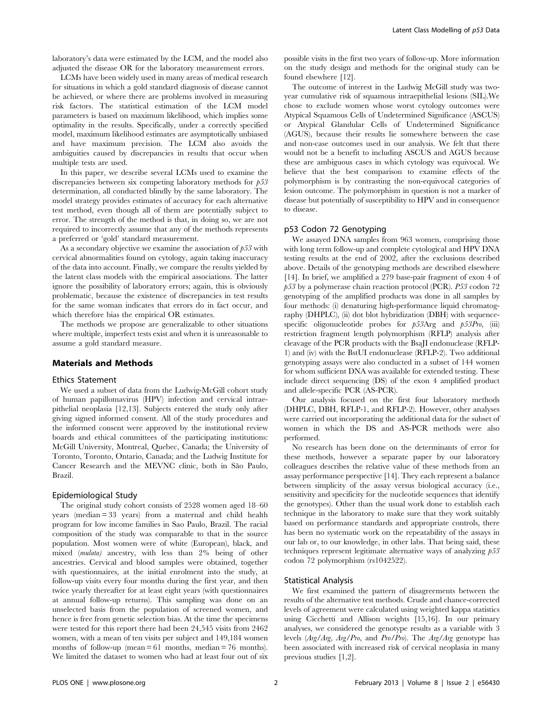laboratory's data were estimated by the LCM, and the model also adjusted the disease OR for the laboratory measurement errors.

LCMs have been widely used in many areas of medical research for situations in which a gold standard diagnosis of disease cannot be achieved, or where there are problems involved in measuring risk factors. The statistical estimation of the LCM model parameters is based on maximum likelihood, which implies some optimality in the results. Specifically, under a correctly specified model, maximum likelihood estimates are asymptotically unbiased and have maximum precision. The LCM also avoids the ambiguities caused by discrepancies in results that occur when multiple tests are used.

In this paper, we describe several LCMs used to examine the discrepancies between six competing laboratory methods for  $p53$ determination, all conducted blindly by the same laboratory. The model strategy provides estimates of accuracy for each alternative test method, even though all of them are potentially subject to error. The strength of the method is that, in doing so, we are not required to incorrectly assume that any of the methods represents a preferred or 'gold' standard measurement.

As a secondary objective we examine the association of  $p53$  with cervical abnormalities found on cytology, again taking inaccuracy of the data into account. Finally, we compare the results yielded by the latent class models with the empirical associations. The latter ignore the possibility of laboratory errors; again, this is obviously problematic, because the existence of discrepancies in test results for the same woman indicates that errors do in fact occur, and which therefore bias the empirical OR estimates.

The methods we propose are generalizable to other situations where multiple, imperfect tests exist and when it is unreasonable to assume a gold standard measure.

# Materials and Methods

#### Ethics Statement

We used a subset of data from the Ludwig-McGill cohort study of human papillomavirus (HPV) infection and cervical intraepithelial neoplasia [12,13]. Subjects entered the study only after giving signed informed consent. All of the study procedures and the informed consent were approved by the institutional review boards and ethical committees of the participating institutions: McGill University, Montreal, Quebec, Canada; the University of Toronto, Toronto, Ontario, Canada; and the Ludwig Institute for Cancer Research and the MEVNC clinic, both in São Paulo, Brazil.

# Epidemiological Study

The original study cohort consists of 2528 women aged 18–60 years (median = 33 years) from a maternal and child health program for low income families in Sao Paulo, Brazil. The racial composition of the study was comparable to that in the source population. Most women were of white (European), black, and mixed (mulata) ancestry, with less than 2% being of other ancestries. Cervical and blood samples were obtained, together with questionnaires, at the initial enrolment into the study, at follow-up visits every four months during the first year, and then twice yearly thereafter for at least eight years (with questionnaires at annual follow-up returns). This sampling was done on an unselected basis from the population of screened women, and hence is free from genetic selection bias. At the time the specimens were tested for this report there had been 24,545 visits from 2462 women, with a mean of ten visits per subject and 149,184 women months of follow-up (mean  $= 61$  months, median  $= 76$  months). We limited the dataset to women who had at least four out of six possible visits in the first two years of follow-up. More information on the study design and methods for the original study can be found elsewhere [12].

The outcome of interest in the Ludwig McGill study was twoyear cumulative risk of squamous intraepithelial lesions (SIL).We chose to exclude women whose worst cytology outcomes were Atypical Squamous Cells of Undetermined Significance (ASCUS) or Atypical Glandular Cells of Undetermined Significance (AGUS), because their results lie somewhere between the case and non-case outcomes used in our analysis. We felt that there would not be a benefit to including ASCUS and AGUS because these are ambiguous cases in which cytology was equivocal. We believe that the best comparison to examine effects of the polymorphism is by contrasting the non-equivocal categories of lesion outcome. The polymorphism in question is not a marker of disease but potentially of susceptibility to HPV and in consequence to disease.

#### p53 Codon 72 Genotyping

We assayed DNA samples from 963 women, comprising those with long term follow-up and complete cytological and HPV DNA testing results at the end of 2002, after the exclusions described above. Details of the genotyping methods are described elsewhere [14]. In brief, we amplified a 279 base-pair fragment of exon 4 of p53 by a polymerase chain reaction protocol (PCR). P53 codon 72 genotyping of the amplified products was done in all samples by four methods: (i) denaturing high-performance liquid chromatography (DHPLC), (ii) dot blot hybridization (DBH) with sequencespecific oligonucleotide probes for  $p53Arg$  and  $p53Pro$ , (iii) restriction fragment length polymorphism (RFLP) analysis after cleavage of the PCR products with the BsaJI endonuclease (RFLP-1) and (iv) with the BstUI endonuclease (RFLP-2). Two additional genotyping assays were also conducted in a subset of 144 women for whom sufficient DNA was available for extended testing. These include direct sequencing (DS) of the exon 4 amplified product and allele-specific PCR (AS-PCR).

Our analysis focused on the first four laboratory methods (DHPLC, DBH, RFLP-1, and RFLP-2). However, other analyses were carried out incorporating the additional data for the subset of women in which the DS and AS-PCR methods were also performed.

No research has been done on the determinants of error for these methods, however a separate paper by our laboratory colleagues describes the relative value of these methods from an assay performance perspective [14]. They each represent a balance between simplicity of the assay versus biological accuracy (i.e., sensitivity and specificity for the nucleotide sequences that identify the genotypes). Other than the usual work done to establish each technique in the laboratory to make sure that they work suitably based on performance standards and appropriate controls, there has been no systematic work on the repeatability of the assays in our lab or, to our knowledge, in other labs. That being said, these techniques represent legitimate alternative ways of analyzing  $p53$ codon 72 polymorphism (rs1042522).

#### Statistical Analysis

We first examined the pattern of disagreements between the results of the alternative test methods. Crude and chance-corrected levels of agreement were calculated using weighted kappa statistics using Cicchetti and Allison weights [15,16]. In our primary analyses, we considered the genotype results as a variable with 3 levels (Arg/Arg, Arg/Pro, and Pro/Pro). The Arg/Arg genotype has been associated with increased risk of cervical neoplasia in many previous studies [1,2].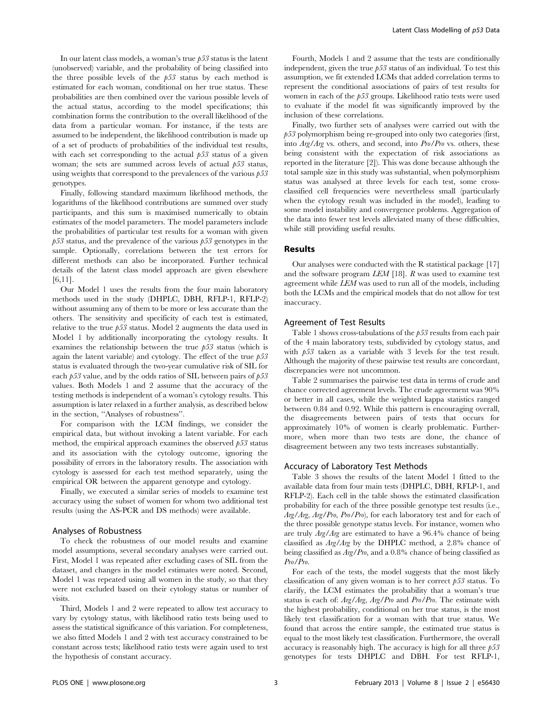In our latent class models, a woman's true  $p53$  status is the latent (unobserved) variable, and the probability of being classified into the three possible levels of the  $p53$  status by each method is estimated for each woman, conditional on her true status. These probabilities are then combined over the various possible levels of the actual status, according to the model specifications; this combination forms the contribution to the overall likelihood of the data from a particular woman. For instance, if the tests are assumed to be independent, the likelihood contribution is made up of a set of products of probabilities of the individual test results, with each set corresponding to the actual  $\beta$ 53 status of a given woman; the sets are summed across levels of actual  $p53$  status, using weights that correspond to the prevalences of the various  $p53$ genotypes.

Finally, following standard maximum likelihood methods, the logarithms of the likelihood contributions are summed over study participants, and this sum is maximised numerically to obtain estimates of the model parameters. The model parameters include the probabilities of particular test results for a woman with given  $p53$  status, and the prevalence of the various  $p53$  genotypes in the sample. Optionally, correlations between the test errors for different methods can also be incorporated. Further technical details of the latent class model approach are given elsewhere [6,11].

Our Model 1 uses the results from the four main laboratory methods used in the study (DHPLC, DBH, RFLP-1, RFLP-2) without assuming any of them to be more or less accurate than the others. The sensitivity and specificity of each test is estimated, relative to the true  $p53$  status. Model 2 augments the data used in Model 1 by additionally incorporating the cytology results. It examines the relationship between the true  $\beta$ 53 status (which is again the latent variable) and cytology. The effect of the true  $p53$ status is evaluated through the two-year cumulative risk of SIL for each  $\beta$ 53 value, and by the odds ratios of SIL between pairs of  $\beta$ 53 values. Both Models 1 and 2 assume that the accuracy of the testing methods is independent of a woman's cytology results. This assumption is later relaxed in a further analysis, as described below in the section, ''Analyses of robustness''.

For comparison with the LCM findings, we consider the empirical data, but without invoking a latent variable. For each method, the empirical approach examines the observed  $p53$  status and its association with the cytology outcome, ignoring the possibility of errors in the laboratory results. The association with cytology is assessed for each test method separately, using the empirical OR between the apparent genotype and cytology.

Finally, we executed a similar series of models to examine test accuracy using the subset of women for whom two additional test results (using the AS-PCR and DS methods) were available.

#### Analyses of Robustness

To check the robustness of our model results and examine model assumptions, several secondary analyses were carried out. First, Model 1 was repeated after excluding cases of SIL from the dataset, and changes in the model estimates were noted. Second, Model 1 was repeated using all women in the study, so that they were not excluded based on their cytology status or number of visits.

Third, Models 1 and 2 were repeated to allow test accuracy to vary by cytology status, with likelihood ratio tests being used to assess the statistical significance of this variation. For completeness, we also fitted Models 1 and 2 with test accuracy constrained to be constant across tests; likelihood ratio tests were again used to test the hypothesis of constant accuracy.

Fourth, Models 1 and 2 assume that the tests are conditionally independent, given the true  $p53$  status of an individual. To test this assumption, we fit extended LCMs that added correlation terms to represent the conditional associations of pairs of test results for women in each of the p53 groups. Likelihood ratio tests were used to evaluate if the model fit was significantly improved by the inclusion of these correlations.

Finally, two further sets of analyses were carried out with the  $p53$  polymorphism being re-grouped into only two categories (first, into  $Arg/Arg$  vs. others, and second, into  $Pro/Pro$  vs. others, these being consistent with the expectation of risk associations as reported in the literature [2]). This was done because although the total sample size in this study was substantial, when polymorphism status was analysed at three levels for each test, some crossclassified cell frequencies were nevertheless small (particularly when the cytology result was included in the model), leading to some model instability and convergence problems. Aggregation of the data into fewer test levels alleviated many of these difficulties, while still providing useful results.

#### Results

Our analyses were conducted with the R statistical package [17] and the software program LEM [18]. R was used to examine test agreement while LEM was used to run all of the models, including both the LCMs and the empirical models that do not allow for test inaccuracy.

#### Agreement of Test Results

Table 1 shows cross-tabulations of the  $p53$  results from each pair of the 4 main laboratory tests, subdivided by cytology status, and with  $p53$  taken as a variable with 3 levels for the test result. Although the majority of these pairwise test results are concordant, discrepancies were not uncommon.

Table 2 summarises the pairwise test data in terms of crude and chance corrected agreement levels. The crude agreement was 90% or better in all cases, while the weighted kappa statistics ranged between 0.84 and 0.92. While this pattern is encouraging overall, the disagreements between pairs of tests that occurs for approximately 10% of women is clearly problematic. Furthermore, when more than two tests are done, the chance of disagreement between any two tests increases substantially.

# Accuracy of Laboratory Test Methods

Table 3 shows the results of the latent Model 1 fitted to the available data from four main tests (DHPLC, DBH, RFLP-1, and RFLP-2). Each cell in the table shows the estimated classification probability for each of the three possible genotype test results (i.e., Arg/Arg, Arg/Pro, Pro/Pro), for each laboratory test and for each of the three possible genotype status levels. For instance, women who are truly Arg/Arg are estimated to have a 96.4% chance of being classified as Arg/Arg by the DHPLC method, a 2.8% chance of being classified as Arg/Pro, and a 0.8% chance of being classified as Pro/Pro.

For each of the tests, the model suggests that the most likely classification of any given woman is to her correct  $p53$  status. To clarify, the LCM estimates the probability that a woman's true status is each of:  $Arg/Arg$ ,  $Arg/Pro$  and  $Pro/Pro$ . The estimate with the highest probability, conditional on her true status, is the most likely test classification for a woman with that true status. We found that across the entire sample, the estimated true status is equal to the most likely test classification. Furthermore, the overall accuracy is reasonably high. The accuracy is high for all three  $p53$ genotypes for tests DHPLC and DBH. For test RFLP-1,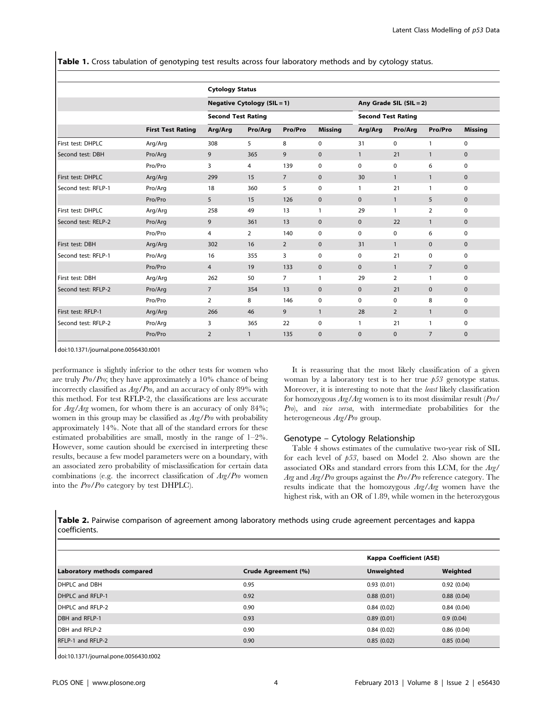Table 1. Cross tabulation of genotyping test results across four laboratory methods and by cytology status.

|                     |                          | <b>Cytology Status</b>                                          |              |                |                                                        |              |                |                |                |
|---------------------|--------------------------|-----------------------------------------------------------------|--------------|----------------|--------------------------------------------------------|--------------|----------------|----------------|----------------|
|                     |                          | <b>Negative Cytology (SIL = 1)</b><br><b>Second Test Rating</b> |              |                | Any Grade SIL $(SIL = 2)$<br><b>Second Test Rating</b> |              |                |                |                |
|                     |                          |                                                                 |              |                |                                                        |              |                |                |                |
|                     | <b>First Test Rating</b> | Arg/Arg                                                         | Pro/Arg      | Pro/Pro        | <b>Missing</b>                                         | Arg/Arg      | Pro/Arg        | Pro/Pro        | <b>Missing</b> |
| First test: DHPLC   | Arg/Arg                  | 308                                                             | 5            | 8              | $\mathbf 0$                                            | 31           | $\mathbf 0$    | $\mathbf{1}$   | $\mathbf 0$    |
| Second test: DBH    | Pro/Arg                  | 9                                                               | 365          | 9              | $\Omega$                                               | $\mathbf{1}$ | 21             | $\mathbf{1}$   | $\mathbf{0}$   |
|                     | Pro/Pro                  | 3                                                               | 4            | 139            | 0                                                      | $\Omega$     | $\mathbf 0$    | 6              | $\mathbf 0$    |
| First test: DHPLC   | Arg/Arg                  | 299                                                             | 15           | $\overline{7}$ | $\mathbf{0}$                                           | 30           | $\mathbf{1}$   | $\mathbf{1}$   | $\mathbf{0}$   |
| Second test: RFLP-1 | Pro/Arg                  | 18                                                              | 360          | 5              | $\mathbf 0$                                            | 1            | 21             | $\mathbf{1}$   | $\mathbf 0$    |
|                     | Pro/Pro                  | 5                                                               | 15           | 126            | $\mathbf{0}$                                           | $\mathbf{0}$ | $\mathbf{1}$   | 5              | $\mathbf{0}$   |
| First test: DHPLC   | Arg/Arg                  | 258                                                             | 49           | 13             | $\mathbf{1}$                                           | 29           | $\mathbf{1}$   | 2              | $\Omega$       |
| Second test: RELP-2 | Pro/Arg                  | 9                                                               | 361          | 13             | $\mathbf{0}$                                           | $\mathbf{0}$ | 22             | $\mathbf{1}$   | $\mathbf{0}$   |
|                     | Pro/Pro                  | 4                                                               | 2            | 140            | 0                                                      | $\Omega$     | $\mathbf 0$    | 6              | $\Omega$       |
| First test: DBH     | Arg/Arg                  | 302                                                             | 16           | $\overline{2}$ | $\Omega$                                               | 31           | $\mathbf{1}$   | $\Omega$       | $\Omega$       |
| Second test: RFLP-1 | Pro/Arg                  | 16                                                              | 355          | 3              | $\mathbf 0$                                            | $\mathbf 0$  | 21             | $\Omega$       | $\Omega$       |
|                     | Pro/Pro                  | $\overline{4}$                                                  | 19           | 133            | $\mathbf 0$                                            | $\Omega$     | $\mathbf{1}$   | $\overline{7}$ | $\Omega$       |
| First test: DBH     | Arg/Arg                  | 262                                                             | 50           | $\overline{7}$ | $\mathbf{1}$                                           | 29           | $\overline{2}$ | $\mathbf{1}$   | $\Omega$       |
| Second test: RFLP-2 | Pro/Arg                  | $\overline{7}$                                                  | 354          | 13             | $\mathbf{0}$                                           | $\mathbf{0}$ | 21             | $\mathbf{0}$   | $\mathbf{0}$   |
|                     | Pro/Pro                  | $\overline{2}$                                                  | 8            | 146            | $\mathbf 0$                                            | 0            | $\Omega$       | 8              | 0              |
| First test: RFLP-1  | Arg/Arg                  | 266                                                             | 46           | 9              | $\mathbf{1}$                                           | 28           | $\overline{2}$ | $\mathbf{1}$   | $\mathbf{0}$   |
| Second test: RFLP-2 | Pro/Arg                  | 3                                                               | 365          | 22             | $\mathbf 0$                                            | $\mathbf{1}$ | 21             | $\mathbf{1}$   | 0              |
|                     | Pro/Pro                  | $\overline{2}$                                                  | $\mathbf{1}$ | 135            | $\Omega$                                               | $\Omega$     | $\Omega$       | 7              | $\Omega$       |

doi:10.1371/journal.pone.0056430.t001

performance is slightly inferior to the other tests for women who are truly Pro/Pro; they have approximately a 10% chance of being incorrectly classified as Arg/Pro, and an accuracy of only 89% with this method. For test RFLP-2, the classifications are less accurate for  $Arg/Arg$  women, for whom there is an accuracy of only 84%; women in this group may be classified as  $Arg/Pro$  with probability approximately 14%. Note that all of the standard errors for these estimated probabilities are small, mostly in the range of 1–2%. However, some caution should be exercised in interpreting these results, because a few model parameters were on a boundary, with an associated zero probability of misclassification for certain data combinations (e.g. the incorrect classification of Arg/Pro women into the Pro/Pro category by test DHPLC).

It is reassuring that the most likely classification of a given woman by a laboratory test is to her true  $\beta$ 53 genotype status. Moreover, it is interesting to note that the least likely classification for homozygous Arg/Arg women is to its most dissimilar result (Pro/ Pro), and vice versa, with intermediate probabilities for the heterogeneous Arg/Pro group.

#### Genotype – Cytology Relationship

Table 4 shows estimates of the cumulative two-year risk of SIL for each level of  $p53$ , based on Model 2. Also shown are the associated ORs and standard errors from this LCM, for the Arg/ Arg and Arg/Pro groups against the Pro/Pro reference category. The results indicate that the homozygous Arg/Arg women have the highest risk, with an OR of 1.89, while women in the heterozygous

Table 2. Pairwise comparison of agreement among laboratory methods using crude agreement percentages and kappa coefficients.

|                             |                     | <b>Kappa Coefficient (ASE)</b> |            |
|-----------------------------|---------------------|--------------------------------|------------|
| Laboratory methods compared | Crude Agreement (%) | <b>Unweighted</b>              | Weighted   |
| DHPLC and DBH               | 0.95                | 0.93(0.01)                     | 0.92(0.04) |
| DHPLC and RFLP-1            | 0.92                | 0.88(0.01)                     | 0.88(0.04) |
| DHPLC and RFLP-2            | 0.90                | 0.84(0.02)                     | 0.84(0.04) |
| <b>DBH</b> and RFLP-1       | 0.93                | 0.89(0.01)                     | 0.9(0.04)  |
| DBH and RFLP-2              | 0.90                | 0.84(0.02)                     | 0.86(0.04) |
| RFLP-1 and RFLP-2           | 0.90                | 0.85(0.02)                     | 0.85(0.04) |

doi:10.1371/journal.pone.0056430.t002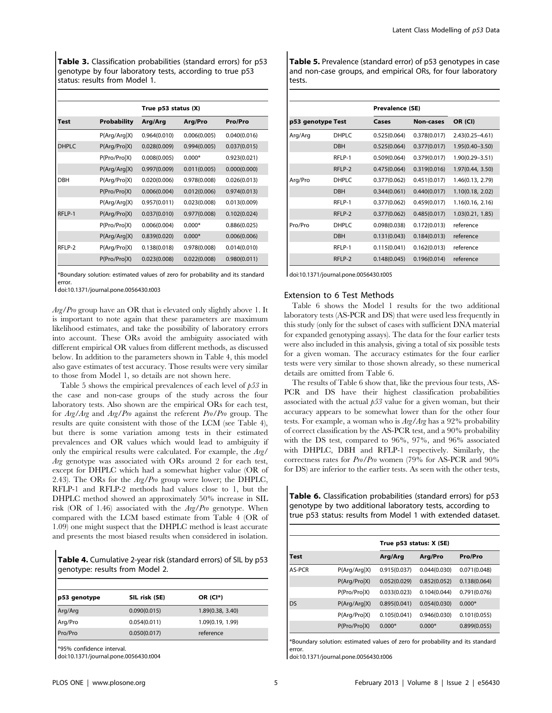Table 3. Classification probabilities (standard errors) for p53 genotype by four laboratory tests, according to true p53 status: results from Model 1.

|              |                    | True p53 status (X) |              |              |
|--------------|--------------------|---------------------|--------------|--------------|
| <b>Test</b>  | <b>Probability</b> | Arg/Arg             | Arg/Pro      | Pro/Pro      |
|              | P(Arq/Arg X)       | 0.964(0.010)        | 0.006(0.005) | 0.040(0.016) |
| <b>DHPLC</b> | P(Arg/Pro X)       | 0.028(0.009)        | 0.994(0.005) | 0.037(0.015) |
|              | P(Pro/Pro X)       | 0.008(0.005)        | $0.000*$     | 0.923(0.021) |
|              | P(Arq/Arg X)       | 0.997(0.009)        | 0.011(0.005) | 0.000(0.000) |
| DBH          | P(Arg/Pro X)       | 0.020(0.006)        | 0.978(0.008) | 0.026(0.013) |
|              | P(Pro/Pro X)       | 0.006(0.004)        | 0.012(0.006) | 0.974(0.013) |
|              | P(Arq/Arg X)       | 0.957(0.011)        | 0.023(0.008) | 0.013(0.009) |
| RFLP-1       | P(Arg/Pro X)       | 0.037(0.010)        | 0.977(0.008) | 0.102(0.024) |
|              | P(Pro/Pro X)       | 0.006(0.004)        | $0.000*$     | 0.886(0.025) |
|              | P(Arq/Arg X)       | 0.839(0.020)        | $0.000*$     | 0.006(0.006) |
| RFLP-2       | P(Arg/Pro X)       | 0.138(0.018)        | 0.978(0.008) | 0.014(0.010) |
|              | P(Pro/Pro X)       | 0.023(0.008)        | 0.022(0.008) | 0.980(0.011) |

\*Boundary solution: estimated values of zero for probability and its standard error.

doi:10.1371/journal.pone.0056430.t003

Arg/Pro group have an OR that is elevated only slightly above 1. It is important to note again that these parameters are maximum likelihood estimates, and take the possibility of laboratory errors into account. These ORs avoid the ambiguity associated with different empirical OR values from different methods, as discussed below. In addition to the parameters shown in Table 4, this model also gave estimates of test accuracy. Those results were very similar to those from Model 1, so details are not shown here.

Table 5 shows the empirical prevalences of each level of  $p53$  in the case and non-case groups of the study across the four laboratory tests. Also shown are the empirical ORs for each test, for Arg/Arg and Arg/Pro against the referent Pro/Pro group. The results are quite consistent with those of the LCM (see Table 4), but there is some variation among tests in their estimated prevalences and OR values which would lead to ambiguity if only the empirical results were calculated. For example, the Arg/ Arg genotype was associated with ORs around 2 for each test, except for DHPLC which had a somewhat higher value (OR of 2.43). The ORs for the Arg/Pro group were lower; the DHPLC, RFLP-1 and RFLP-2 methods had values close to 1, but the DHPLC method showed an approximately 50% increase in SIL risk (OR of 1.46) associated with the  $Arg/Pro$  genotype. When compared with the LCM based estimate from Table 4 (OR of 1.09) one might suspect that the DHPLC method is least accurate and presents the most biased results when considered in isolation.

Table 4. Cumulative 2-year risk (standard errors) of SIL by p53 genotype: results from Model 2.

| SIL risk (SE) | OR (CI*)         |
|---------------|------------------|
| 0.090(0.015)  | 1.89(0.38, 3.40) |
| 0.054(0.011)  | 1.09(0.19, 1.99) |
| 0.050(0.017)  | reference        |
|               |                  |

\*95% confidence interval.

doi:10.1371/journal.pone.0056430.t004

Table 5. Prevalence (standard error) of p53 genotypes in case and non-case groups, and empirical ORs, for four laboratory tests.

|                   |                    | Prevalence (SE) |                  |                     |  |
|-------------------|--------------------|-----------------|------------------|---------------------|--|
| p53 genotype Test |                    | Cases           | <b>Non-cases</b> | OR (CI)             |  |
| Arg/Arg           | DHPLC              | 0.525(0.064)    | 0.378(0.017)     | $2.43(0.25 - 4.61)$ |  |
|                   | <b>DBH</b>         | 0.525(0.064)    | 0.377(0.017)     | $1.95(0.40 - 3.50)$ |  |
|                   | RFLP-1             | 0.509(0.064)    | 0.379(0.017)     | 1.90(0.29-3.51)     |  |
|                   | RFI <sub>P-2</sub> | 0.475(0.064)    | 0.319(0.016)     | 1.97(0.44, 3.50)    |  |
| Arg/Pro           | <b>DHPLC</b>       | 0.377(0.062)    | 0.451(0.017)     | 1.46(0.13, 2.79)    |  |
|                   | <b>DBH</b>         | 0.344(0.061)    | 0.440(0.017)     | 1.10(0.18, 2.02)    |  |
|                   | RFLP-1             | 0.377(0.062)    | 0.459(0.017)     | 1.16(0.16, 2.16)    |  |
|                   | RFLP-2             | 0.377(0.062)    | 0.485(0.017)     | 1.03(0.21, 1.85)    |  |
| Pro/Pro           | DHPLC              | 0.098(0.038)    | 0.172(0.013)     | reference           |  |
|                   | <b>DBH</b>         | 0.131(0.043)    | 0.184(0.013)     | reference           |  |
|                   | RFLP-1             | 0.115(0.041)    | 0.162(0.013)     | reference           |  |
|                   | RFLP-2             | 0.148(0.045)    | 0.196(0.014)     | reference           |  |

doi:10.1371/journal.pone.0056430.t005

#### Extension to 6 Test Methods

Table 6 shows the Model 1 results for the two additional laboratory tests (AS-PCR and DS) that were used less frequently in this study (only for the subset of cases with sufficient DNA material for expanded genotyping assays). The data for the four earlier tests were also included in this analysis, giving a total of six possible tests for a given woman. The accuracy estimates for the four earlier tests were very similar to those shown already, so these numerical details are omitted from Table 6.

The results of Table 6 show that, like the previous four tests, AS-PCR and DS have their highest classification probabilities associated with the actual  $p53$  value for a given woman, but their accuracy appears to be somewhat lower than for the other four tests. For example, a woman who is Arg/Arg has a 92% probability of correct classification by the AS-PCR test, and a 90% probability with the DS test, compared to 96%, 97%, and 96% associated with DHPLC, DBH and RFLP-1 respectively. Similarly, the correctness rates for Pro/Pro women (79% for AS-PCR and 90% for DS) are inferior to the earlier tests. As seen with the other tests,

Table 6. Classification probabilities (standard errors) for p53 genotype by two additional laboratory tests, according to true p53 status: results from Model 1 with extended dataset.

|        |              | True p53 status: X (SE) |              |              |  |  |
|--------|--------------|-------------------------|--------------|--------------|--|--|
| Test   |              | Arg/Arg                 | Arg/Pro      | Pro/Pro      |  |  |
| AS-PCR | P(Arq/Arg X) | 0.915(0.037)            | 0.044(0.030) | 0.071(0.048) |  |  |
|        | P(Arq/Pro X) | 0.052(0.029)            | 0.852(0.052) | 0.138(0.064) |  |  |
|        | P(Pro/Pro X) | 0.033(0.023)            | 0.104(0.044) | 0.791(0.076) |  |  |
| DS     | P(Arq/Arg X) | 0.895(0.041)            | 0.054(0.030) | $0.000*$     |  |  |
|        | P(Arq/Pro X) | 0.105(0.041)            | 0.946(0.030) | 0.101(0.055) |  |  |
|        | P(Pro/Pro X) | $0.000*$                | $0.000*$     | 0.899(0.055) |  |  |

\*Boundary solution: estimated values of zero for probability and its standard error.

doi:10.1371/journal.pone.0056430.t006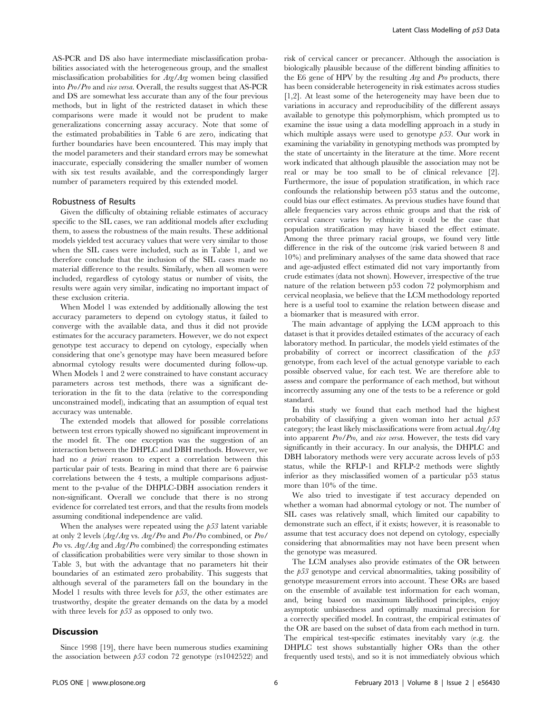AS-PCR and DS also have intermediate misclassification probabilities associated with the heterogeneous group, and the smallest misclassification probabilities for Arg/Arg women being classified into Pro/Pro and vice versa. Overall, the results suggest that AS-PCR and DS are somewhat less accurate than any of the four previous methods, but in light of the restricted dataset in which these comparisons were made it would not be prudent to make generalizations concerning assay accuracy. Note that some of the estimated probabilities in Table 6 are zero, indicating that further boundaries have been encountered. This may imply that the model parameters and their standard errors may be somewhat inaccurate, especially considering the smaller number of women with six test results available, and the correspondingly larger number of parameters required by this extended model.

## Robustness of Results

Given the difficulty of obtaining reliable estimates of accuracy specific to the SIL cases, we ran additional models after excluding them, to assess the robustness of the main results. These additional models yielded test accuracy values that were very similar to those when the SIL cases were included, such as in Table 1, and we therefore conclude that the inclusion of the SIL cases made no material difference to the results. Similarly, when all women were included, regardless of cytology status or number of visits, the results were again very similar, indicating no important impact of these exclusion criteria.

When Model 1 was extended by additionally allowing the test accuracy parameters to depend on cytology status, it failed to converge with the available data, and thus it did not provide estimates for the accuracy parameters. However, we do not expect genotype test accuracy to depend on cytology, especially when considering that one's genotype may have been measured before abnormal cytology results were documented during follow-up. When Models 1 and 2 were constrained to have constant accuracy parameters across test methods, there was a significant deterioration in the fit to the data (relative to the corresponding unconstrained model), indicating that an assumption of equal test accuracy was untenable.

The extended models that allowed for possible correlations between test errors typically showed no significant improvement in the model fit. The one exception was the suggestion of an interaction between the DHPLC and DBH methods. However, we had no *a priori* reason to expect a correlation between this particular pair of tests. Bearing in mind that there are 6 pairwise correlations between the 4 tests, a multiple comparisons adjustment to the p-value of the DHPLC-DBH association renders it non-significant. Overall we conclude that there is no strong evidence for correlated test errors, and that the results from models assuming conditional independence are valid.

When the analyses were repeated using the  $p53$  latent variable at only 2 levels (Arg/Arg vs. Arg/Pro and Pro/Pro combined, or Pro/ Pro vs.  $Arg/Arg$  and  $Arg/Pro$  combined) the corresponding estimates of classification probabilities were very similar to those shown in Table 3, but with the advantage that no parameters hit their boundaries of an estimated zero probability. This suggests that although several of the parameters fall on the boundary in the Model 1 results with three levels for  $p53$ , the other estimates are trustworthy, despite the greater demands on the data by a model with three levels for  $p53$  as opposed to only two.

# Discussion

Latent Class Modelling of p53 Data

risk of cervical cancer or precancer. Although the association is biologically plausible because of the different binding affinities to the E6 gene of HPV by the resulting  $Arg$  and  $Pro$  products, there has been considerable heterogeneity in risk estimates across studies [1,2]. At least some of the heterogeneity may have been due to variations in accuracy and reproducibility of the different assays available to genotype this polymorphism, which prompted us to examine the issue using a data modelling approach in a study in which multiple assays were used to genotype  $p53$ . Our work in examining the variability in genotyping methods was prompted by the state of uncertainty in the literature at the time. More recent work indicated that although plausible the association may not be real or may be too small to be of clinical relevance [2]. Furthermore, the issue of population stratification, in which race confounds the relationship between p53 status and the outcome, could bias our effect estimates. As previous studies have found that allele frequencies vary across ethnic groups and that the risk of cervical cancer varies by ethnicity it could be the case that population stratification may have biased the effect estimate. Among the three primary racial groups, we found very little difference in the risk of the outcome (risk varied between 8 and 10%) and preliminary analyses of the same data showed that race and age-adjusted effect estimated did not vary importantly from crude estimates (data not shown). However, irrespective of the true nature of the relation between p53 codon 72 polymorphism and cervical neoplasia, we believe that the LCM methodology reported here is a useful tool to examine the relation between disease and a biomarker that is measured with error.

The main advantage of applying the LCM approach to this dataset is that it provides detailed estimates of the accuracy of each laboratory method. In particular, the models yield estimates of the probability of correct or incorrect classification of the  $p53$ genotype, from each level of the actual genotype variable to each possible observed value, for each test. We are therefore able to assess and compare the performance of each method, but without incorrectly assuming any one of the tests to be a reference or gold standard.

In this study we found that each method had the highest probability of classifying a given woman into her actual  $p53$ category; the least likely misclassifications were from actual Arg/Arg into apparent Pro/Pro, and vice versa. However, the tests did vary significantly in their accuracy. In our analysis, the DHPLC and DBH laboratory methods were very accurate across levels of p53 status, while the RFLP-1 and RFLP-2 methods were slightly inferior as they misclassified women of a particular p53 status more than 10% of the time.

We also tried to investigate if test accuracy depended on whether a woman had abnormal cytology or not. The number of SIL cases was relatively small, which limited our capability to demonstrate such an effect, if it exists; however, it is reasonable to assume that test accuracy does not depend on cytology, especially considering that abnormalities may not have been present when the genotype was measured.

The LCM analyses also provide estimates of the OR between the p53 genotype and cervical abnormalities, taking possibility of genotype measurement errors into account. These ORs are based on the ensemble of available test information for each woman, and, being based on maximum likelihood principles, enjoy asymptotic unbiasedness and optimally maximal precision for a correctly specified model. In contrast, the empirical estimates of the OR are based on the subset of data from each method in turn. The empirical test-specific estimates inevitably vary (e.g. the DHPLC test shows substantially higher ORs than the other frequently used tests), and so it is not immediately obvious which

Since 1998 [19], there have been numerous studies examining the association between  $p53$  codon 72 genotype (rs1042522) and